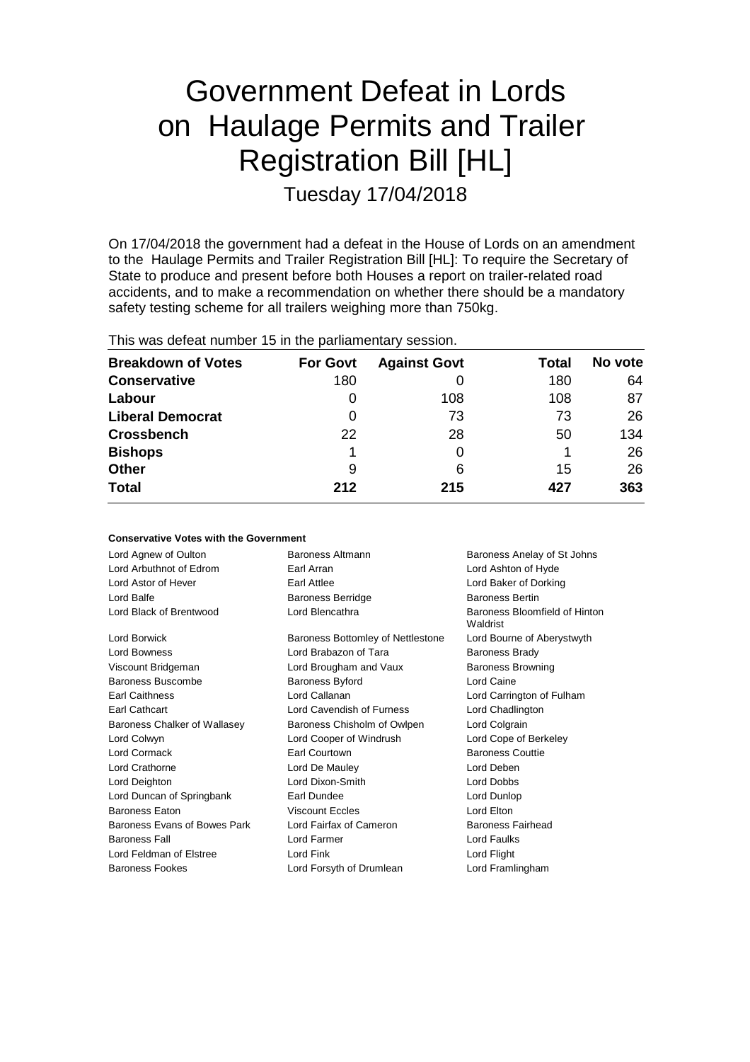# Government Defeat in Lords on Haulage Permits and Trailer Registration Bill [HL]

Tuesday 17/04/2018

On 17/04/2018 the government had a defeat in the House of Lords on an amendment to the Haulage Permits and Trailer Registration Bill [HL]: To require the Secretary of State to produce and present before both Houses a report on trailer-related road accidents, and to make a recommendation on whether there should be a mandatory safety testing scheme for all trailers weighing more than 750kg.

| This was defeat number 15 in the parliamentary session. |
|---------------------------------------------------------|
|---------------------------------------------------------|

| <b>Breakdown of Votes</b> | <b>For Govt</b> | <b>Against Govt</b> | Total | No vote |
|---------------------------|-----------------|---------------------|-------|---------|
| <b>Conservative</b>       | 180             |                     | 180   | 64      |
| Labour                    | O               | 108                 | 108   | 87      |
| <b>Liberal Democrat</b>   | 0               | 73                  | 73    | 26      |
| <b>Crossbench</b>         | 22              | 28                  | 50    | 134     |
| <b>Bishops</b>            |                 |                     |       | 26      |
| <b>Other</b>              | 9               | 6                   | 15    | 26      |
| <b>Total</b>              | 212             | 215                 | 427   | 363     |

|  |  |  | <b>Conservative Votes with the Government</b> |
|--|--|--|-----------------------------------------------|
|--|--|--|-----------------------------------------------|

| Lord Agnew of Oulton         | Baroness Altmann                  | Baroness Anelay of St Johns               |
|------------------------------|-----------------------------------|-------------------------------------------|
| Lord Arbuthnot of Edrom      | Earl Arran                        | Lord Ashton of Hyde                       |
| Lord Astor of Hever          | Earl Attlee                       | Lord Baker of Dorking                     |
| Lord Balfe                   | <b>Baroness Berridge</b>          | <b>Baroness Bertin</b>                    |
| Lord Black of Brentwood      | Lord Blencathra                   | Baroness Bloomfield of Hinton<br>Waldrist |
| Lord Borwick                 | Baroness Bottomley of Nettlestone | Lord Bourne of Aberystwyth                |
| <b>Lord Bowness</b>          | Lord Brabazon of Tara             | <b>Baroness Brady</b>                     |
| Viscount Bridgeman           | Lord Brougham and Vaux            | <b>Baroness Browning</b>                  |
| Baroness Buscombe            | <b>Baroness Byford</b>            | Lord Caine                                |
| <b>Earl Caithness</b>        | Lord Callanan                     | Lord Carrington of Fulham                 |
| Earl Cathcart                | Lord Cavendish of Furness         | Lord Chadlington                          |
| Baroness Chalker of Wallasey | Baroness Chisholm of Owlpen       | Lord Colgrain                             |
| Lord Colwyn                  | Lord Cooper of Windrush           | Lord Cope of Berkeley                     |
| Lord Cormack                 | Earl Courtown                     | <b>Baroness Couttie</b>                   |
| Lord Crathorne               | Lord De Mauley                    | Lord Deben                                |
| Lord Deighton                | Lord Dixon-Smith                  | Lord Dobbs                                |
| Lord Duncan of Springbank    | Earl Dundee                       | Lord Dunlop                               |
| <b>Baroness Eaton</b>        | <b>Viscount Eccles</b>            | Lord Elton                                |
| Baroness Evans of Bowes Park | Lord Fairfax of Cameron           | Baroness Fairhead                         |
| <b>Baroness Fall</b>         | Lord Farmer                       | Lord Faulks                               |
| Lord Feldman of Elstree      | Lord Fink                         | Lord Flight                               |
| <b>Baroness Fookes</b>       | Lord Forsyth of Drumlean          | Lord Framlingham                          |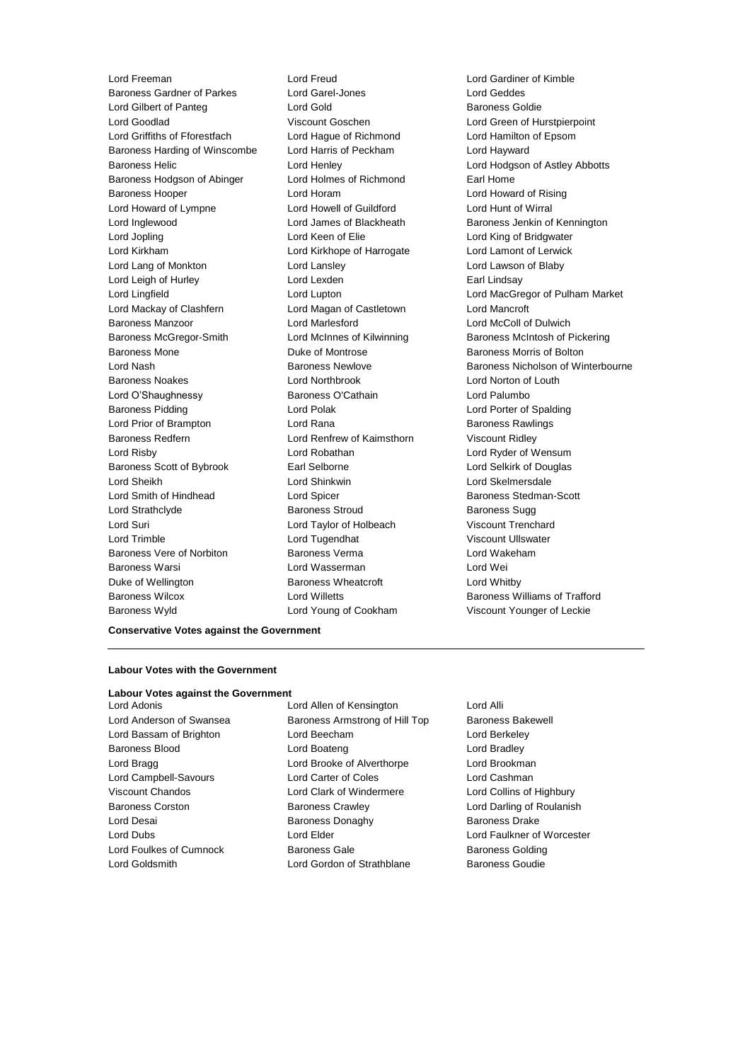Lord Freeman Lord Freud Lord Gardiner of Kimble Baroness Gardner of Parkes Lord Gilbert of Panteg Lord Gold Baroness Goldie Lord Goodlad Viscount Goschen Lord Green of Hurstpierpoint Lord Griffiths of Fforestfach Lord Hague of Richmond Lord Hamilton of Epsom Baroness Harding of Winscombe Lord Harris of Peckham Lord Hayward Baroness Helic Lord Henley Lord Hodgson of Astley Abbotts Baroness Hodgson of Abinger Lord Holmes of Richmond Earl Home Baroness Hooper Lord Horam Lord Howard of Rising Lord Howard of Lympne Lord Howell of Guildford Lord Hunt of Wirral Lord Inglewood Lord James of Blackheath Baroness Jenkin of Kennington Lord Jopling **Lord Keen of Elie** Lord Keen Clear Lord King of Bridgwater Lord Kirkham Lord Kirkhope of Harrogate Lord Lamont of Lerwick Lord Lang of Monkton Lord Lansley Lord Lawson of Blaby Lord Leigh of Hurley **Lord Lexden** Earl Lindsay Lord Mackay of Clashfern Lord Magan of Castletown Lord Mancroft Baroness Manzoor **Lord Marlesford** Lord McColl of Dulwich Baroness McGregor-Smith **Lord McInnes of Kilwinning** Baroness McIntosh of Pickering Baroness Mone Duke of Montrose Baroness Morris of Bolton Baroness Noakes Lord Northbrook Lord Norton of Louth Lord O'Shaughnessy Baroness O'Cathain Lord Palumbo Baroness Pidding **Lord Polak** Lord Polak Lord Porter of Spalding Lord Prior of Brampton Lord Rana Baroness Rawlings Baroness Redfern Lord Renfrew of Kaimsthorn Viscount Ridley Lord Risby Lord Robathan Lord Ryder of Wensum Baroness Scott of Bybrook **Earl Selborne Earl Selborne** Lord Selkirk of Douglas Lord Sheikh Lord Shinkwin Lord Skelmersdale Lord Smith of Hindhead Lord Spicer Baroness Stedman-Scott Lord Strathclyde Baroness Stroud Baroness Sugg Lord Suri Lord Taylor of Holbeach Viscount Trenchard Lord Trimble Lord Tugendhat Viscount Ullswater Baroness Vere of Norbiton Baroness Verma Lord Wakeham Baroness Warsi Lord Wasserman Lord Wei Duke of Wellington **Baroness Wheatcroft Lord Whitby** Baroness Wilcox **Lord Willetts** Baroness Williams of Trafford **Baroness Williams** of Trafford Baroness Wyld Lord Young of Cookham Viscount Younger of Leckie

Lord Lingfield Lord Lupton Lord MacGregor of Pulham Market Lord Nash Baroness Newlove Baroness Nicholson of Winterbourne

# **Conservative Votes against the Government**

# **Labour Votes with the Government**

#### **Labour Votes against the Government**

Lord Goldsmith Lord Gordon of Strathblane Baroness Goudie

Lord Adonis Lord Allen of Kensington Lord Alli Lord Anderson of Swansea **Baroness Armstrong of Hill Top** Baroness Bakewell Lord Bassam of Brighton Lord Beecham Lord Berkeley Baroness Blood **Lord Boateng** Lord Bradley **Lord Bradley** Lord Bragg **Lord Brooke of Alverthorpe** Lord Brookman Lord Campbell-Savours Lord Carter of Coles Lord Cashman Viscount Chandos Lord Clark of Windermere Lord Collins of Highbury Baroness Corston **Baroness Crawley Community** Lord Darling of Roulanish Lord Desai **Baroness Donaghy** Baroness Donaghy Baroness Drake Lord Dubs Lord Elder Lord Faulkner of Worcester Lord Foulkes of Cumnock **Baroness Gale** Baroness Gale Baroness Golding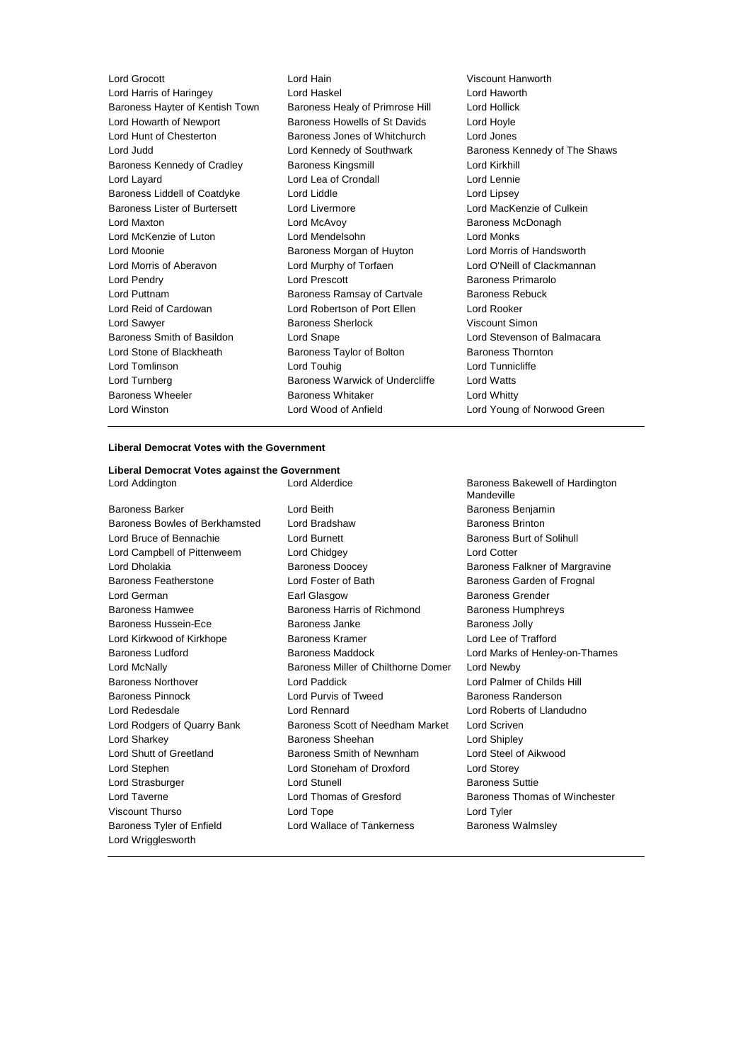Lord Grocott Lord Hain Viscount Hanworth Lord Harris of Haringey Lord Haskel Lord Haworth Baroness Hayter of Kentish Town Baroness Healy of Primrose Hill Lord Hollick Lord Howarth of Newport Baroness Howells of St Davids Lord Hoyle Lord Hunt of Chesterton Baroness Jones of Whitchurch Lord Jones Lord Judd **Lord Kennedy of Southwark** Baroness Kennedy of The Shaws Baroness Kennedy of Cradley Baroness Kingsmill Lord Kirkhill Lord Layard Lord Lea of Crondall Lord Lennie Baroness Liddell of Coatdyke Lord Liddle Lord Lines Lord Lipsey Baroness Lister of Burtersett Lord Livermore Lord MacKenzie of Culkein Lord Maxton Lord McAvoy Baroness McDonagh Lord McKenzie of Luton Lord Mendelsohn Lord Monks Lord Moonie Baroness Morgan of Huyton Lord Morris of Handsworth Lord Morris of Aberavon Lord Murphy of Torfaen Lord O'Neill of Clackmannan Lord Pendry **Lord Prescott Baroness Primarolo** Lord Puttnam **Baroness Ramsay of Cartvale** Baroness Rebuck Lord Reid of Cardowan Lord Robertson of Port Ellen Lord Rooker Lord Sawyer **Baroness Sherlock** Miscount Simon Baroness Smith of Basildon Lord Snape Lord Stevenson of Balmacara Lord Stone of Blackheath Baroness Taylor of Bolton Baroness Thornton Lord Tomlinson Lord Touhig Lord Tunnicliffe Lord Turnberg **Baroness Warwick of Undercliffe** Lord Watts Baroness Wheeler **Baroness Whitaker** Lord Whitty Lord Winston Lord Wood of Anfield Lord Young of Norwood Green

# **Liberal Democrat Votes with the Government**

# **Liberal Democrat Votes against the Government**

Lord Wrigglesworth

Baroness Barker **Communist Baroness Benjamin** Lord Beith **Baroness Benjamin** Baroness Bowles of Berkhamsted Lord Bradshaw Baroness Brinton Lord Bruce of Bennachie **Lord Burnett** Lord Burnett **Baroness Burt of Solihull** Lord Campbell of Pittenweem Lord Chidgey Lord Cotter Lord Dholakia **Baroness Doocey** Baroness Falkner of Margravine Baroness Featherstone Lord Foster of Bath Baroness Garden of Frognal Lord German **Earl Glasgow** Earl Glasgow Baroness Grender Baroness Hamwee **Baroness Harris of Richmond** Baroness Humphreys Baroness Hussein-Ece **Baroness Janke** Baroness John Baroness Jolly Lord Kirkwood of Kirkhope **Baroness Kramer** Baroness Kramer Lord Lee of Trafford Baroness Ludford **Baroness Maddock** Lord Marks of Henley-on-Thames Lord McNally Baroness Miller of Chilthorne Domer Lord Newby Baroness Northover Lord Paddick Lord Palmer of Childs Hill Baroness Pinnock **Example 2** Lord Purvis of Tweed Baroness Randerson Lord Redesdale Lord Rennard Lord Roberts of Llandudno Lord Rodgers of Quarry Bank Baroness Scott of Needham Market Lord Scriven Lord Sharkey **Baroness Sheehan** Lord Shipley **Lord Shipley** Lord Shutt of Greetland Baroness Smith of Newnham Lord Steel of Aikwood Lord Stephen Lord Stoneham of Droxford Lord Storey Lord Strasburger **Lord Stunell** Lord Stunell **Baroness** Suttie Lord Taverne **Lord Thomas of Gresford** Baroness Thomas of Winchester Viscount Thurso Lord Tope Lord Tyler Baroness Tyler of Enfield **Lord Wallace of Tankerness** Baroness Walmsley

Lord Addington **Lord Alderdice** Baroness Bakewell of Hardington Mandeville